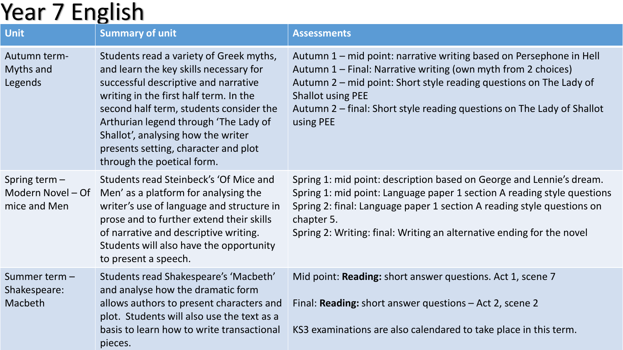## Year 7 English

|                                                      | w                                                                                                                                                                                                                                                                                                                                                                   |                                                                                                                                                                                                                                                                                                                               |
|------------------------------------------------------|---------------------------------------------------------------------------------------------------------------------------------------------------------------------------------------------------------------------------------------------------------------------------------------------------------------------------------------------------------------------|-------------------------------------------------------------------------------------------------------------------------------------------------------------------------------------------------------------------------------------------------------------------------------------------------------------------------------|
| <b>Unit</b>                                          | <b>Summary of unit</b>                                                                                                                                                                                                                                                                                                                                              | <b>Assessments</b>                                                                                                                                                                                                                                                                                                            |
| Autumn term-<br>Myths and<br>Legends                 | Students read a variety of Greek myths,<br>and learn the key skills necessary for<br>successful descriptive and narrative<br>writing in the first half term. In the<br>second half term, students consider the<br>Arthurian legend through 'The Lady of<br>Shallot', analysing how the writer<br>presents setting, character and plot<br>through the poetical form. | Autumn 1 – mid point: narrative writing based on Persephone in Hell<br>Autumn 1 - Final: Narrative writing (own myth from 2 choices)<br>Autumn 2 – mid point: Short style reading questions on The Lady of<br><b>Shallot using PEE</b><br>Autumn 2 – final: Short style reading questions on The Lady of Shallot<br>using PEE |
| Spring term $-$<br>Modern Novel - Of<br>mice and Men | Students read Steinbeck's 'Of Mice and<br>Men' as a platform for analysing the<br>writer's use of language and structure in<br>prose and to further extend their skills<br>of narrative and descriptive writing.<br>Students will also have the opportunity<br>to present a speech.                                                                                 | Spring 1: mid point: description based on George and Lennie's dream.<br>Spring 1: mid point: Language paper 1 section A reading style questions<br>Spring 2: final: Language paper 1 section A reading style questions on<br>chapter 5.<br>Spring 2: Writing: final: Writing an alternative ending for the novel              |
| Summer term -<br>Shakespeare:<br>Macbeth             | Students read Shakespeare's 'Macbeth'<br>and analyse how the dramatic form<br>allows authors to present characters and<br>plot. Students will also use the text as a<br>basis to learn how to write transactional<br>pieces.                                                                                                                                        | Mid point: Reading: short answer questions. Act 1, scene 7<br>Final: Reading: short answer questions - Act 2, scene 2<br>KS3 examinations are also calendared to take place in this term.                                                                                                                                     |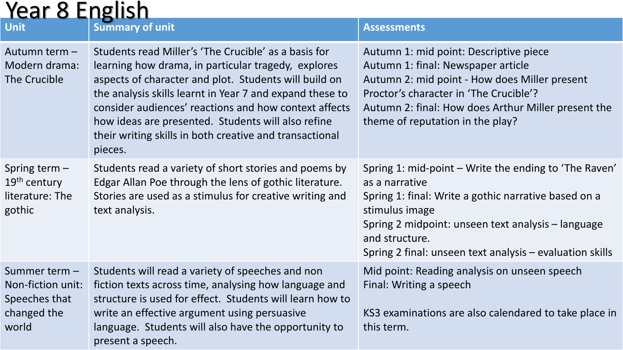| <b>Year 8 English</b>                                                       |                                                                                                                                                                                                                                                                                                                                                                                                                       |                                                                                                                                                                                                                                                                                       |  |  |
|-----------------------------------------------------------------------------|-----------------------------------------------------------------------------------------------------------------------------------------------------------------------------------------------------------------------------------------------------------------------------------------------------------------------------------------------------------------------------------------------------------------------|---------------------------------------------------------------------------------------------------------------------------------------------------------------------------------------------------------------------------------------------------------------------------------------|--|--|
| <b>Unit</b>                                                                 | <b>Summary of unit</b>                                                                                                                                                                                                                                                                                                                                                                                                | <b>Assessments</b>                                                                                                                                                                                                                                                                    |  |  |
| Autumn term -<br>Modern drama:<br>The Crucible                              | Students read Miller's 'The Crucible' as a basis for<br>learning how drama, in particular tragedy, explores<br>aspects of character and plot. Students will build on<br>the analysis skills learnt in Year 7 and expand these to<br>consider audiences' reactions and how context affects<br>how ideas are presented. Students will also refine<br>their writing skills in both creative and transactional<br>pieces. | Autumn 1: mid point: Descriptive piece<br>Autumn 1: final: Newspaper article<br>Autumn 2: mid point - How does Miller present<br>Proctor's character in 'The Crucible'?<br>Autumn 2: final: How does Arthur Miller present the<br>theme of reputation in the play?                    |  |  |
| Spring term $-$<br>$19th$ century<br>literature: The<br>gothic              | Students read a variety of short stories and poems by<br>Edgar Allan Poe through the lens of gothic literature.<br>Stories are used as a stimulus for creative writing and<br>text analysis.                                                                                                                                                                                                                          | Spring 1: mid-point – Write the ending to 'The Raven'<br>as a narrative<br>Spring 1: final: Write a gothic narrative based on a<br>stimulus image<br>Spring 2 midpoint: unseen text analysis – language<br>and structure.<br>Spring 2 final: unseen text analysis – evaluation skills |  |  |
| Summer term -<br>Non-fiction unit:<br>Speeches that<br>changed the<br>world | Students will read a variety of speeches and non<br>fiction texts across time, analysing how language and<br>structure is used for effect. Students will learn how to<br>write an effective argument using persuasive<br>language. Students will also have the opportunity to<br>present a speech.                                                                                                                    | Mid point: Reading analysis on unseen speech<br>Final: Writing a speech<br>KS3 examinations are also calendared to take place in<br>this term.                                                                                                                                        |  |  |